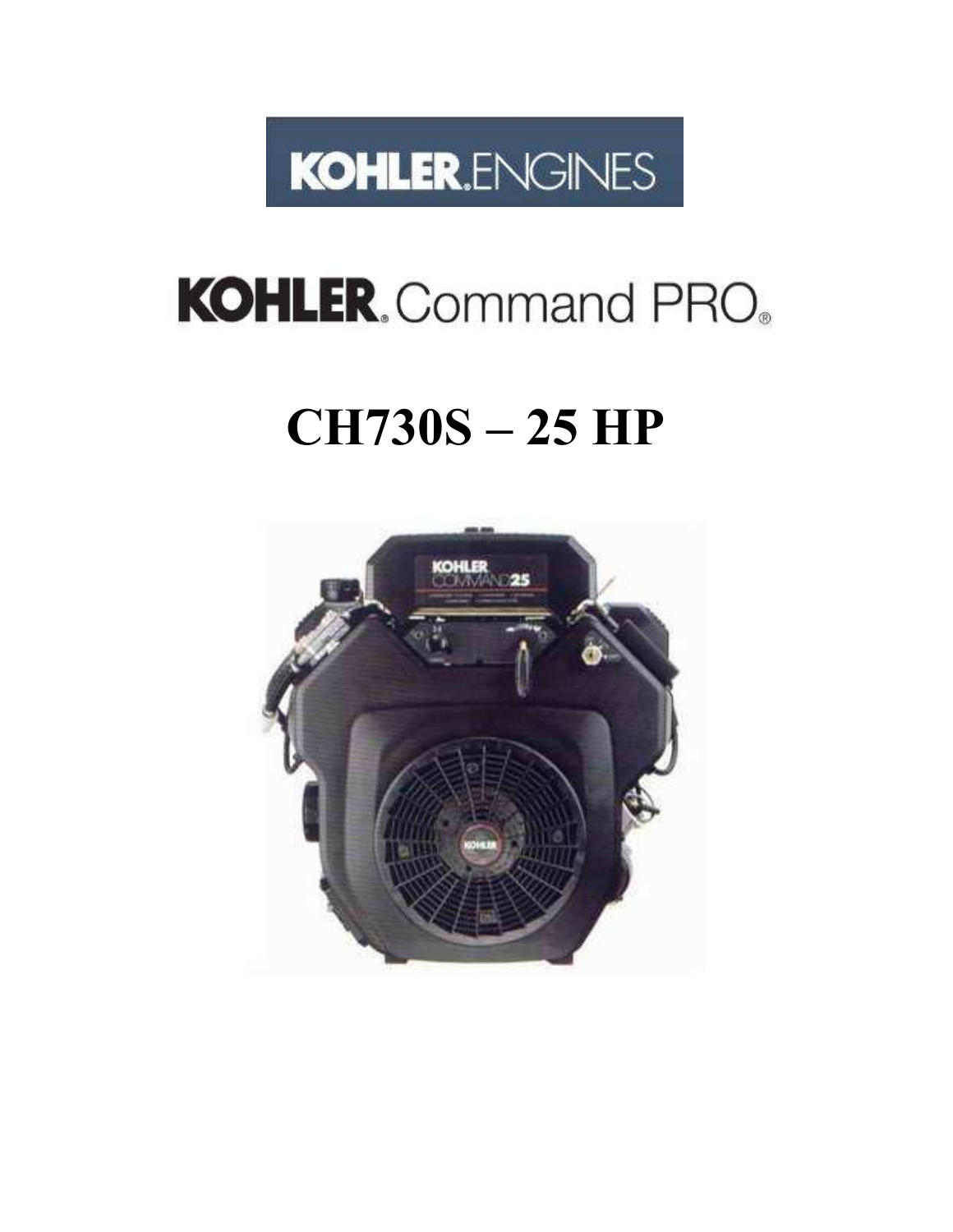

# **KOHLER.** Command PRO.

## **CH730S – 25 HP**

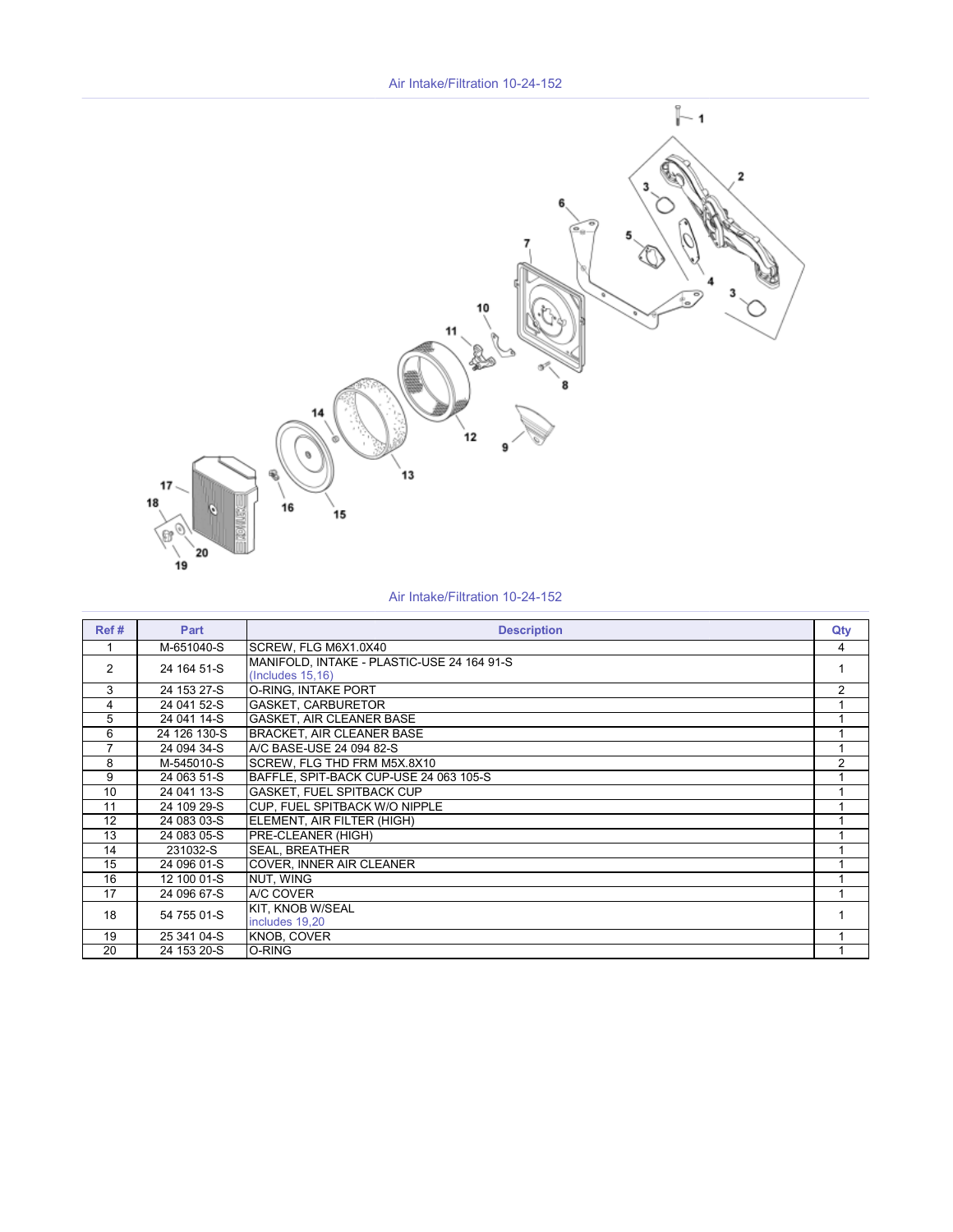Air Intake/Filtration 10-24-152



#### Air Intake/Filtration 10-24-152

| Ref#           | Part                     | <b>Description</b>                                              | Qty            |
|----------------|--------------------------|-----------------------------------------------------------------|----------------|
|                | M-651040-S               | SCREW, FLG M6X1.0X40                                            | 4              |
| $\mathcal{P}$  | 24 164 51-S              | MANIFOLD, INTAKE - PLASTIC-USE 24 164 91-S<br>(Includes 15, 16) | 1              |
| 3              | $\overline{24}$ 153 27-S | O-RING, INTAKE PORT                                             | $\overline{2}$ |
| 4              | 24 041 52-S              | <b>GASKET, CARBURETOR</b>                                       |                |
| 5              | 24 041 14-S              | <b>GASKET, AIR CLEANER BASE</b>                                 |                |
| 6              | 24 126 130-S             | <b>BRACKET, AIR CLEANER BASE</b>                                |                |
| $\overline{7}$ | 24 094 34-S              | A/C BASE-USE 24 094 82-S                                        | 1              |
| 8              | M-545010-S               | SCREW, FLG THD FRM M5X.8X10                                     | $\overline{2}$ |
| 9              | 24 063 51-S              | BAFFLE, SPIT-BACK CUP-USE 24 063 105-S                          |                |
| 10             | 24 041 13-S              | GASKET, FUEL SPITBACK CUP                                       |                |
| 11             | 24 109 29-S              | CUP. FUEL SPITBACK W/O NIPPLE                                   |                |
| 12             | 24 083 03-S              | ELEMENT, AIR FILTER (HIGH)                                      |                |
| 13             | 24 083 05-S              | PRE-CLEANER (HIGH)                                              |                |
| 14             | 231032-S                 | <b>SEAL, BREATHER</b>                                           |                |
| 15             | 24 096 01-S              | <b>COVER, INNER AIR CLEANER</b>                                 | 1              |
| 16             | 12 100 01-S              | NUT, WING                                                       |                |
| 17             | 24 096 67-S              | A/C COVER                                                       |                |
| 18             | 54 755 01-S              | KIT, KNOB W/SEAL<br>includes 19,20                              |                |
| 19             | 25 341 04-S              | <b>KNOB, COVER</b>                                              |                |
| 20             | 24 153 20-S              | O-RING                                                          |                |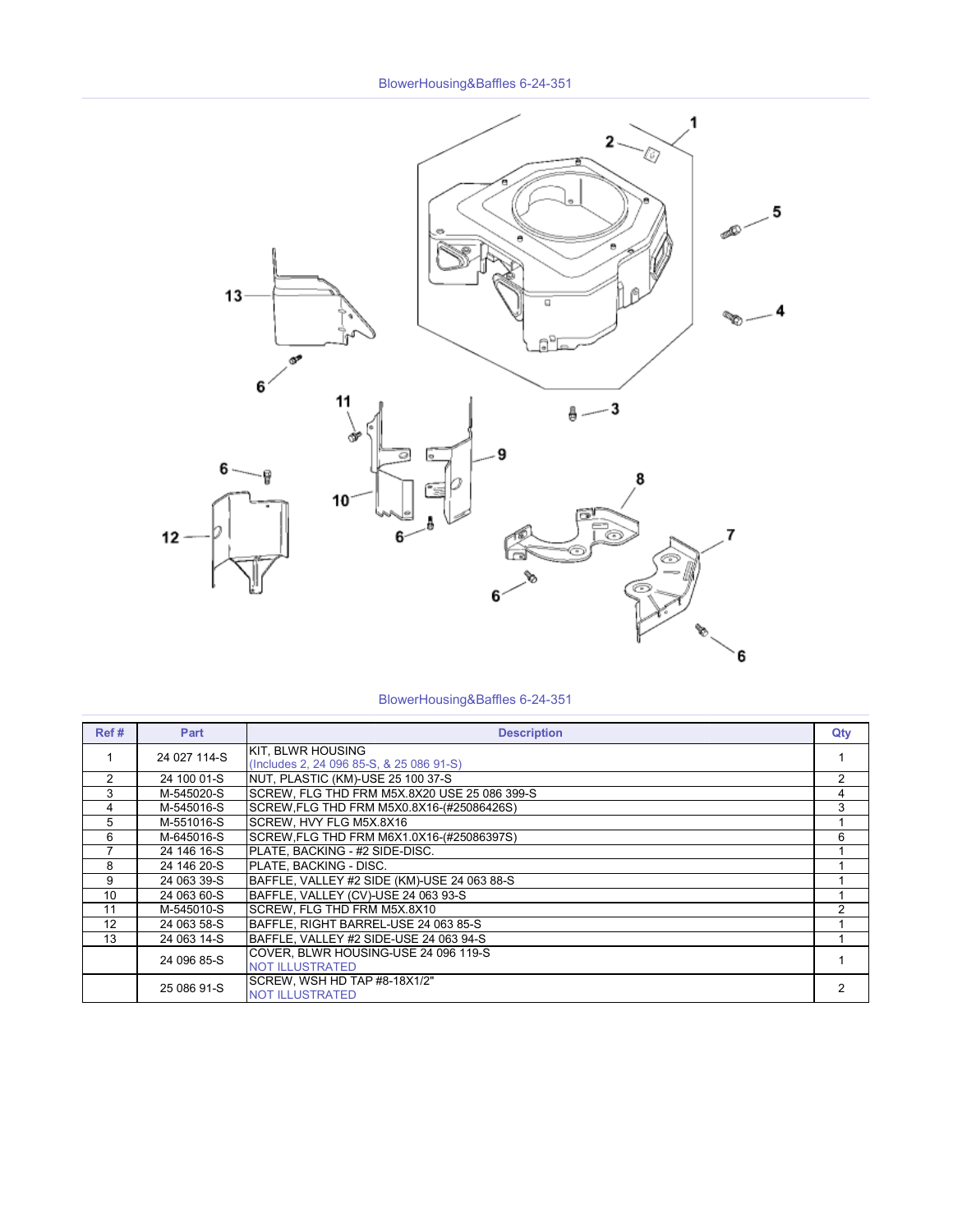

BlowerHousing&Baffles 6-24-351

| Ref# | Part         | <b>Description</b>                                                   | Qty |
|------|--------------|----------------------------------------------------------------------|-----|
|      | 24 027 114-S | <b>KIT. BLWR HOUSING</b><br>(Includes 2, 24 096 85-S, & 25 086 91-S) |     |
| 2    | 24 100 01-S  | NUT, PLASTIC (KM)-USE 25 100 37-S                                    | 2   |
| 3    | M-545020-S   | SCREW, FLG THD FRM M5X.8X20 USE 25 086 399-S                         | 4   |
| 4    | M-545016-S   | SCREW, FLG THD FRM M5X0.8X16-(#25086426S)                            | 3   |
| 5    | M-551016-S   | SCREW, HVY FLG M5X.8X16                                              |     |
| 6    | M-645016-S   | SCREW, FLG THD FRM M6X1.0X16-(#25086397S)                            | 6   |
| 7    | 24 146 16-S  | PLATE. BACKING - #2 SIDE-DISC.                                       |     |
| 8    | 24 146 20-S  | PLATE. BACKING - DISC.                                               |     |
| 9    | 24 063 39-S  | BAFFLE, VALLEY #2 SIDE (KM)-USE 24 063 88-S                          |     |
| 10   | 24 063 60-S  | BAFFLE, VALLEY (CV)-USE 24 063 93-S                                  |     |
| 11   | M-545010-S   | SCREW, FLG THD FRM M5X.8X10                                          | 2   |
| 12   | 24 063 58-S  | BAFFLE. RIGHT BARREL-USE 24 063 85-S                                 |     |
| 13   | 24 063 14-S  | BAFFLE. VALLEY #2 SIDE-USE 24 063 94-S                               |     |
|      | 24 096 85-S  | COVER. BLWR HOUSING-USE 24 096 119-S<br><b>NOT ILLUSTRATED</b>       |     |
|      | 25 086 91-S  | SCREW, WSH HD TAP #8-18X1/2"<br><b>NOT ILLUSTRATED</b>               | 2   |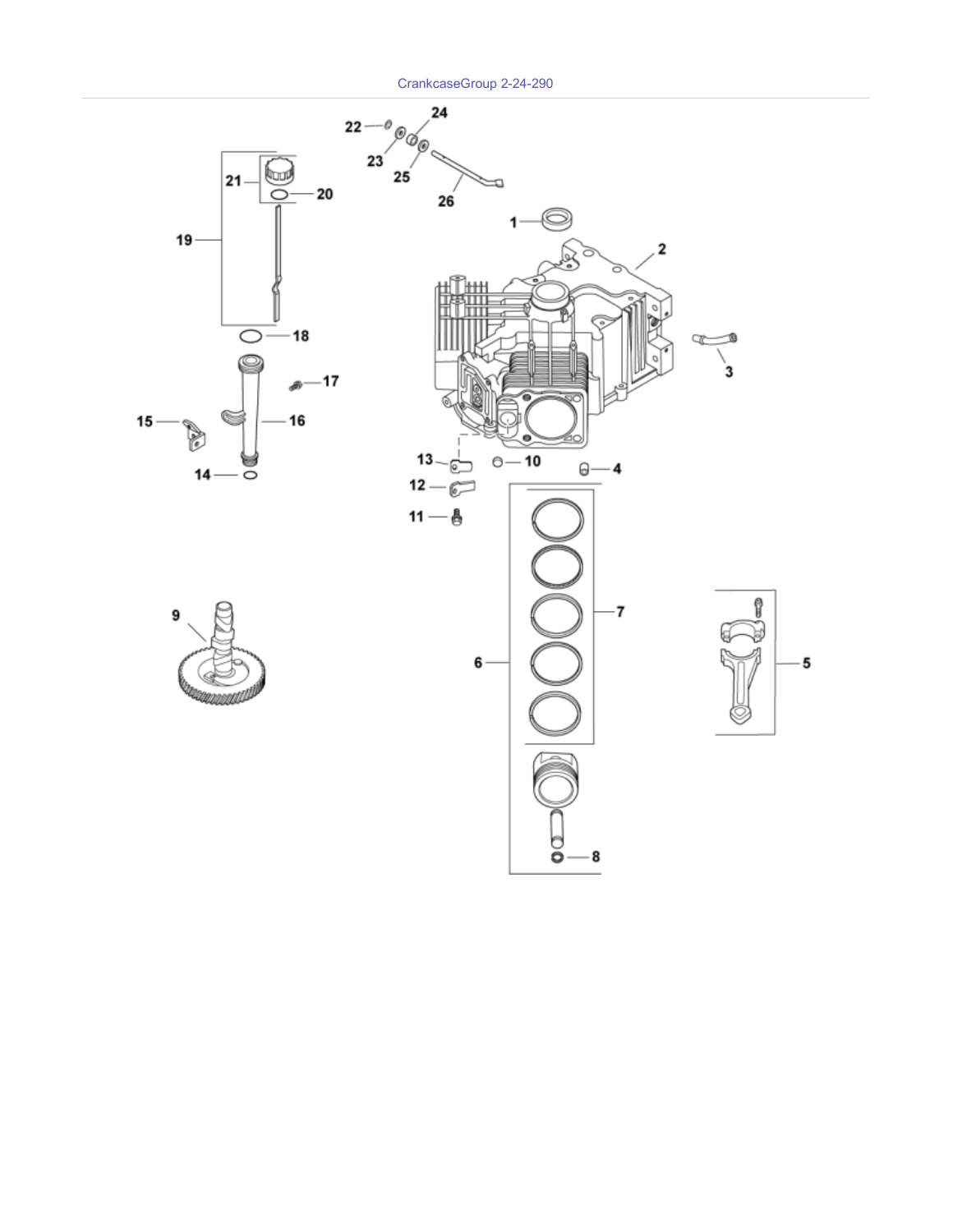CrankcaseGroup 2-24-290

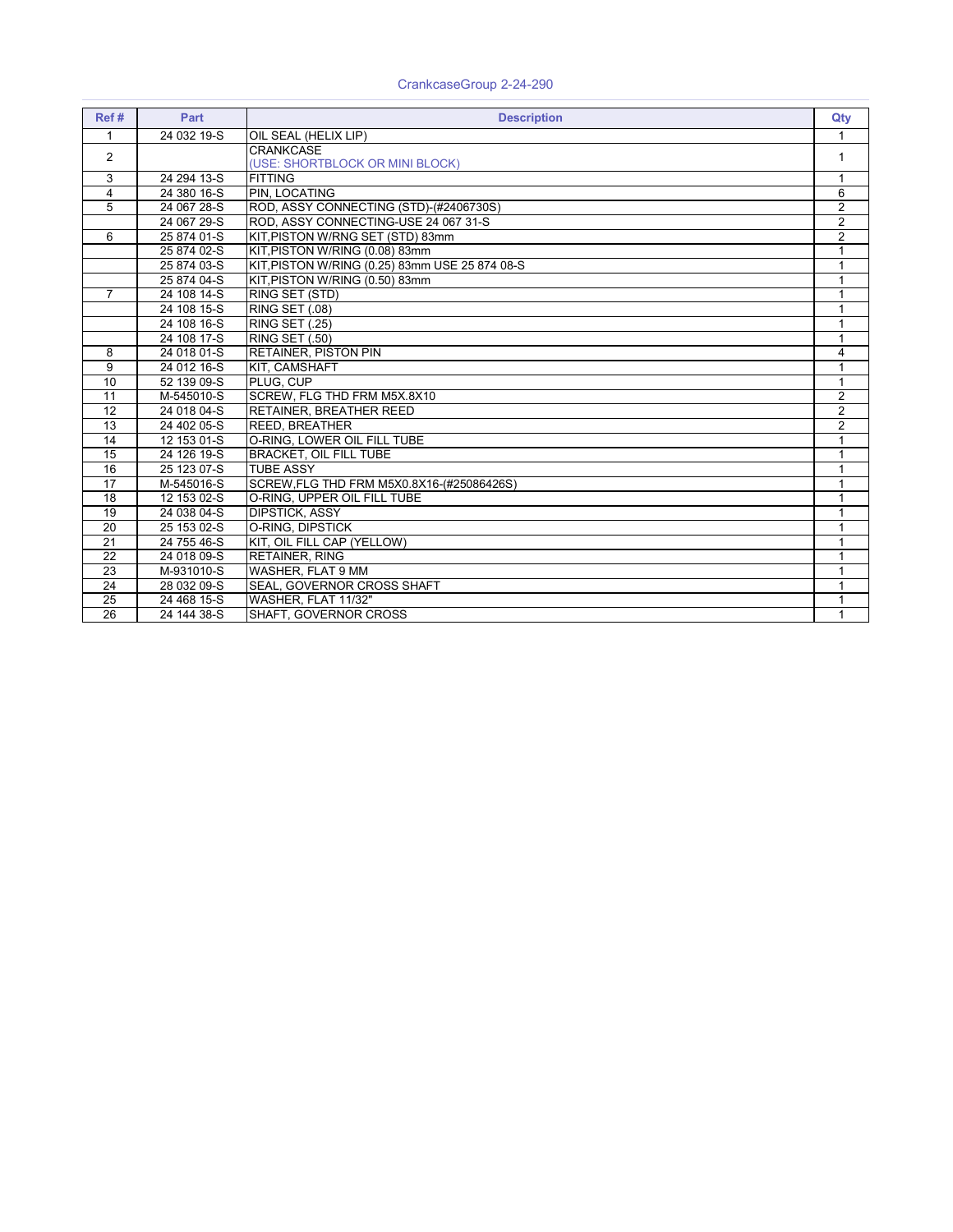| Ref#            | Part        | <b>Description</b>                             | Qty            |
|-----------------|-------------|------------------------------------------------|----------------|
| $\mathbf{1}$    | 24 032 19-S | OIL SEAL (HELIX LIP)                           | 1              |
| 2               |             | <b>CRANKCASE</b>                               | 1              |
|                 |             | (USE: SHORTBLOCK OR MINI BLOCK)                |                |
| 3               | 24 294 13-S | <b>FITTING</b>                                 | $\mathbf{1}$   |
| $\overline{4}$  | 24 380 16-S | PIN. LOCATING                                  | 6              |
| 5               | 24 067 28-S | ROD, ASSY CONNECTING (STD)-(#2406730S)         | $\overline{2}$ |
|                 | 24 067 29-S | ROD, ASSY CONNECTING-USE 24 067 31-S           | $\overline{2}$ |
| 6               | 25 874 01-S | KIT, PISTON W/RNG SET (STD) 83mm               | $\overline{2}$ |
|                 | 25 874 02-S | KIT, PISTON W/RING (0.08) 83mm                 | $\mathbf{1}$   |
|                 | 25 874 03-S | KIT, PISTON W/RING (0.25) 83mm USE 25 874 08-S |                |
|                 | 25 874 04-S | KIT, PISTON W/RING (0.50) 83mm                 |                |
| $\overline{7}$  | 24 108 14-S | RING SET (STD)                                 | $\mathbf{1}$   |
|                 | 24 108 15-S | <b>RING SET (.08)</b>                          | 1              |
|                 | 24 108 16-S | <b>RING SET (.25)</b>                          | $\mathbf{1}$   |
|                 | 24 108 17-S | <b>RING SET (.50)</b>                          | $\mathbf{1}$   |
| 8               | 24 018 01-S | <b>RETAINER, PISTON PIN</b>                    | 4              |
| 9               | 24 012 16-S | KIT, CAMSHAFT                                  | 1              |
| 10              | 52 139 09-S | PLUG. CUP                                      | 1              |
| 11              | M-545010-S  | SCREW, FLG THD FRM M5X.8X10                    | $\overline{2}$ |
| 12              | 24 018 04-S | <b>RETAINER, BREATHER REED</b>                 | $\overline{2}$ |
| 13              | 24 402 05-S | <b>REED, BREATHER</b>                          | $\overline{2}$ |
| 14              | 12 153 01-S | O-RING. LOWER OIL FILL TUBE                    | 1              |
| 15              | 24 126 19-S | <b>BRACKET, OIL FILL TUBE</b>                  | 1              |
| 16              | 25 123 07-S | <b>TUBE ASSY</b>                               | 1              |
| $\overline{17}$ | M-545016-S  | SCREW, FLG THD FRM M5X0.8X16-(#25086426S)      | $\mathbf{1}$   |
| 18              | 12 153 02-S | O-RING. UPPER OIL FILL TUBE                    | $\mathbf{1}$   |
| 19              | 24 038 04-S | <b>DIPSTICK, ASSY</b>                          | $\mathbf 1$    |
| $\overline{20}$ | 25 153 02-S | O-RING. DIPSTICK                               | 1              |
| $\overline{21}$ | 24 755 46-S | KIT, OIL FILL CAP (YELLOW)                     | 1              |
| $\overline{22}$ | 24 018 09-S | <b>RETAINER, RING</b>                          | $\mathbf{1}$   |
| 23              | M-931010-S  | WASHER, FLAT 9 MM                              | $\mathbf{1}$   |
| 24              | 28 032 09-S | SEAL, GOVERNOR CROSS SHAFT                     | 1              |
| 25              | 24 468 15-S | WASHER. FLAT 11/32"                            | 1              |
| 26              | 24 144 38-S | SHAFT, GOVERNOR CROSS                          | $\mathbf{1}$   |

#### CrankcaseGroup 2-24-290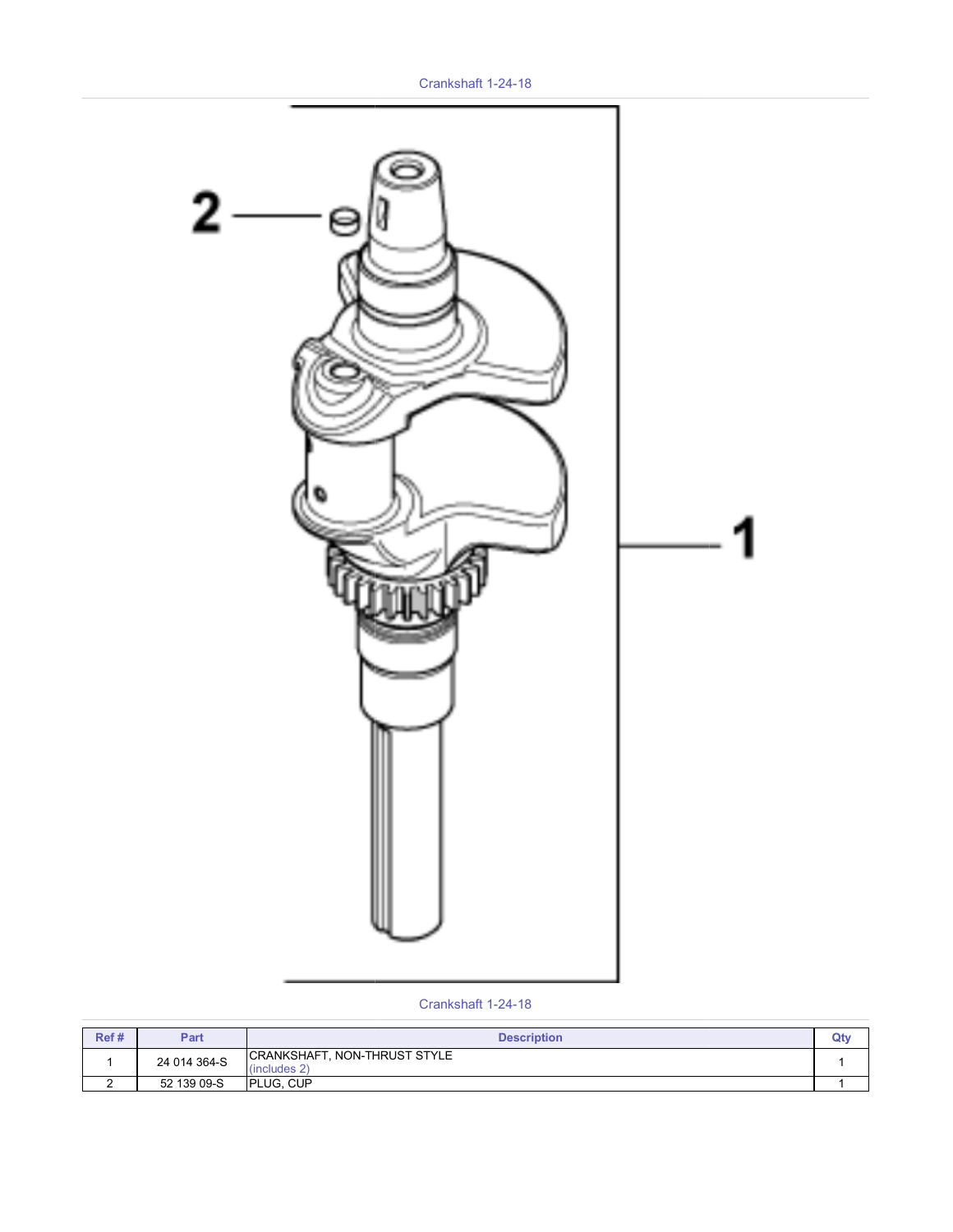

#### Crankshaft 1-24-18

| Ref # | Part         | <b>Description</b>                                 | Qt۱ |
|-------|--------------|----------------------------------------------------|-----|
|       | 24 014 364-S | <b>CRANKSHAFT, NON-THRUST STYLE</b><br>(includes?) |     |
|       | 52 139 09-S  | <b>PLUG. CUP</b>                                   |     |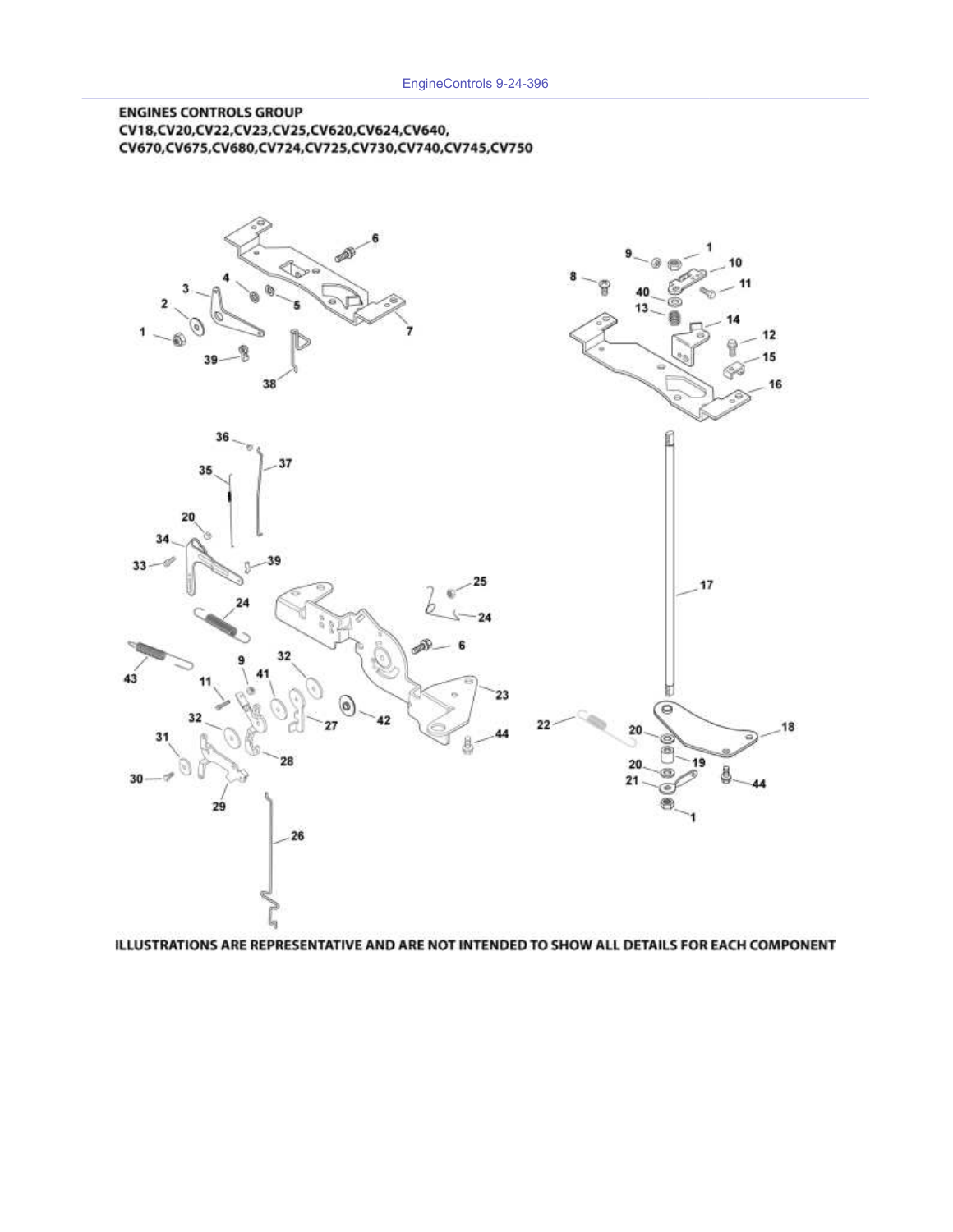#### **ENGINES CONTROLS GROUP** CV18,CV20,CV22,CV23,CV25,CV620,CV624,CV640, CV670,CV675,CV680,CV724,CV725,CV730,CV740,CV745,CV750



ILLUSTRATIONS ARE REPRESENTATIVE AND ARE NOT INTENDED TO SHOW ALL DETAILS FOR EACH COMPONENT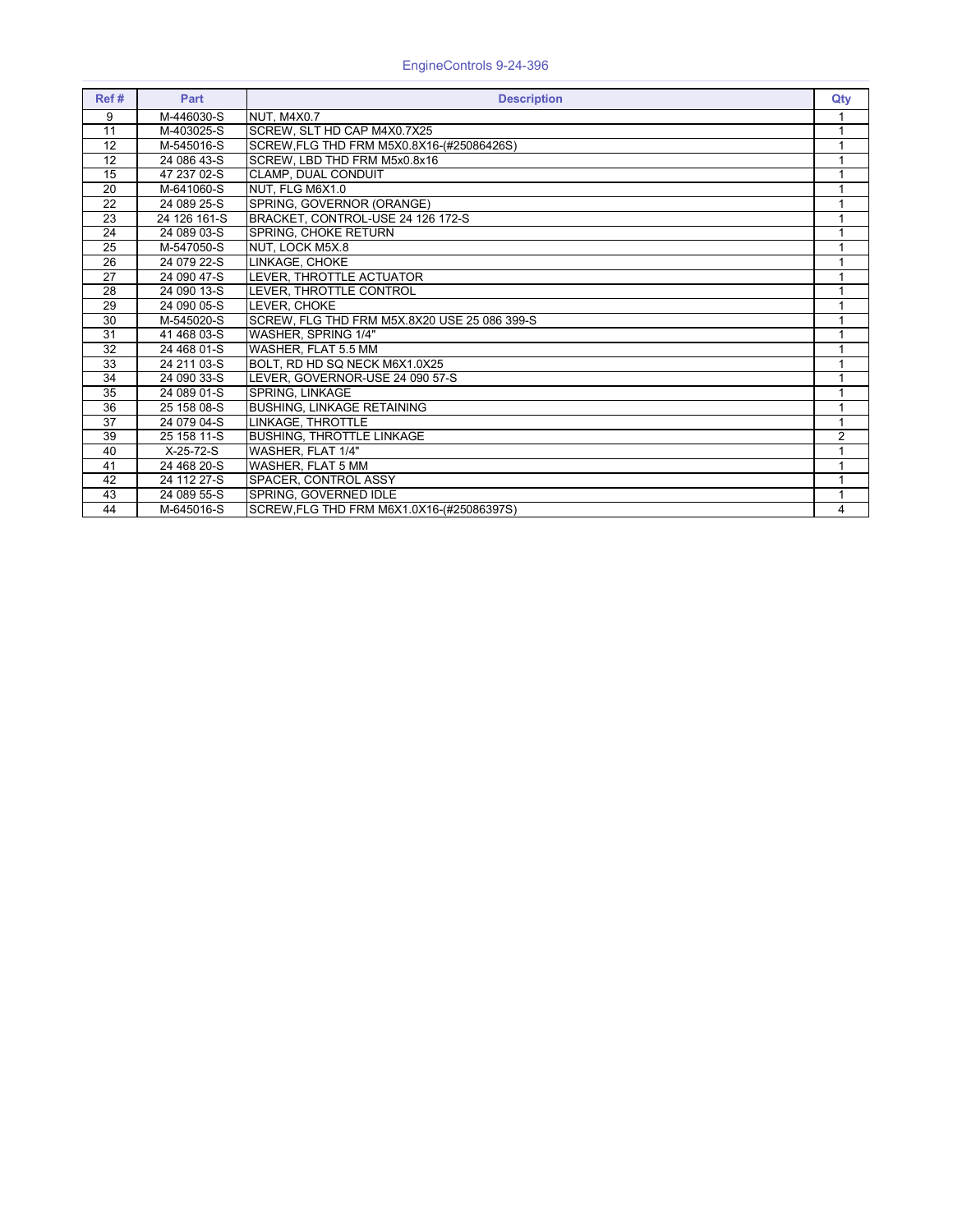| Ref#            | <b>Part</b>  | <b>Description</b>                           | Qty            |
|-----------------|--------------|----------------------------------------------|----------------|
| 9               | M-446030-S   | NUT. M4X0.7                                  |                |
| 11              | M-403025-S   | SCREW, SLT HD CAP M4X0.7X25                  |                |
| 12              | M-545016-S   | SCREW, FLG THD FRM M5X0.8X16-(#25086426S)    |                |
| 12              | 24 086 43-S  | SCREW, LBD THD FRM M5x0.8x16                 |                |
| 15              | 47 237 02-S  | CLAMP, DUAL CONDUIT                          |                |
| 20              | M-641060-S   | NUT, FLG M6X1.0                              |                |
| 22              | 24 089 25-S  | SPRING, GOVERNOR (ORANGE)                    |                |
| 23              | 24 126 161-S | BRACKET, CONTROL-USE 24 126 172-S            |                |
| 24              | 24 089 03-S  | SPRING, CHOKE RETURN                         |                |
| 25              | M-547050-S   | <b>INUT. LOCK M5X.8</b>                      |                |
| 26              | 24 079 22-S  | <b>LINKAGE, CHOKE</b>                        |                |
| 27              | 24 090 47-S  | LEVER, THROTTLE ACTUATOR                     |                |
| 28              | 24 090 13-S  | LEVER, THROTTLE CONTROL                      |                |
| 29              | 24 090 05-S  | LEVER. CHOKE                                 |                |
| 30              | M-545020-S   | SCREW, FLG THD FRM M5X.8X20 USE 25 086 399-S |                |
| 31              | 41 468 03-S  | WASHER, SPRING 1/4"                          |                |
| 32              | 24 468 01-S  | WASHER, FLAT 5.5 MM                          |                |
| $\overline{33}$ | 24 211 03-S  | BOLT, RD HD SQ NECK M6X1.0X25                |                |
| 34              | 24 090 33-S  | LEVER. GOVERNOR-USE 24 090 57-S              |                |
| 35              | 24 089 01-S  | SPRING, LINKAGE                              |                |
| 36              | 25 158 08-S  | <b>BUSHING, LINKAGE RETAINING</b>            |                |
| 37              | 24 079 04-S  | LINKAGE, THROTTLE                            |                |
| 39              | 25 158 11-S  | <b>BUSHING, THROTTLE LINKAGE</b>             | $\overline{2}$ |
| 40              | X-25-72-S    | WASHER, FLAT 1/4"                            |                |
| 41              | 24 468 20-S  | WASHER, FLAT 5 MM                            |                |
| 42              | 24 112 27-S  | SPACER, CONTROL ASSY                         |                |
| 43              | 24 089 55-S  | SPRING, GOVERNED IDLE                        |                |
| 44              | M-645016-S   | SCREW, FLG THD FRM M6X1.0X16-(#25086397S)    | 4              |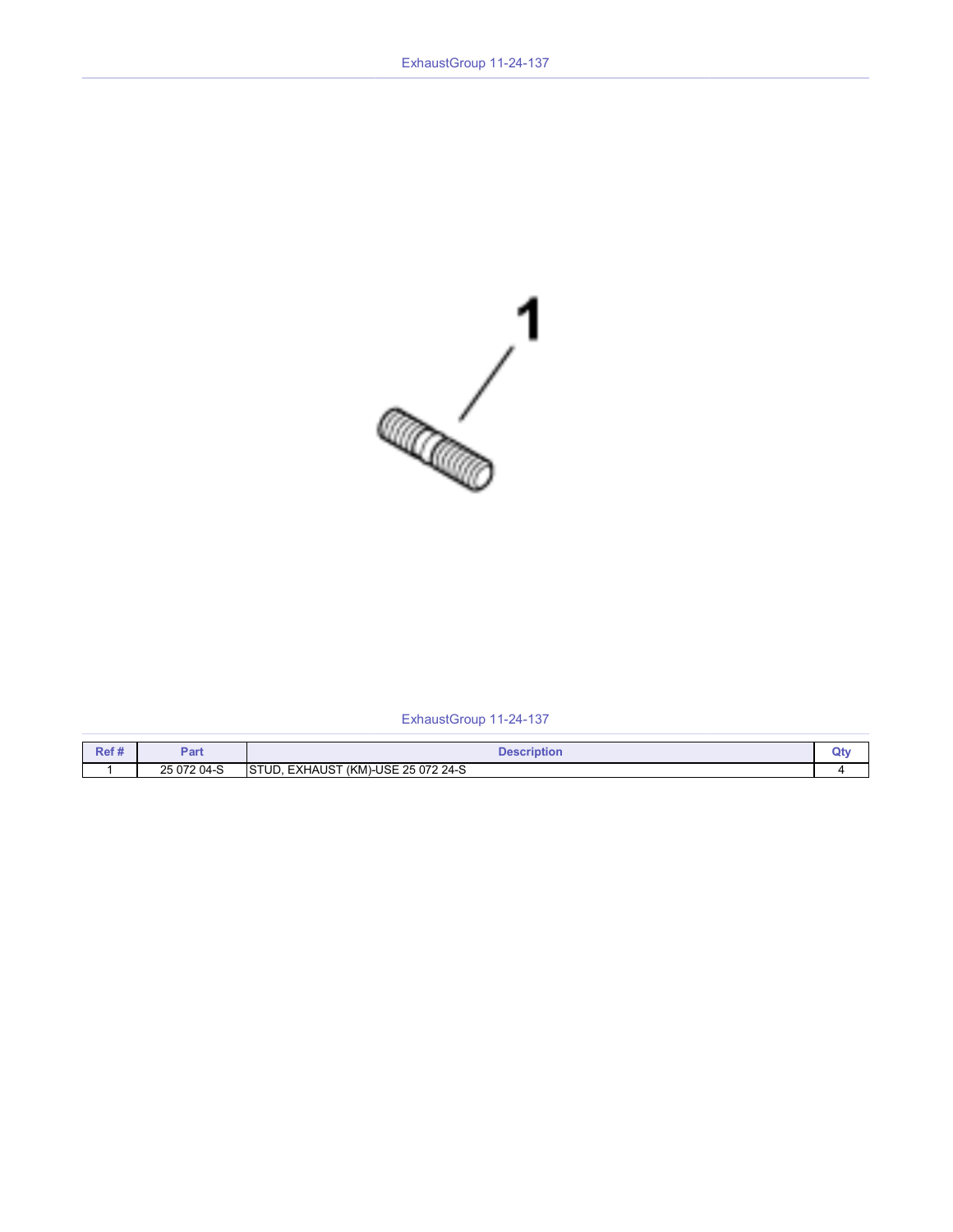

### ExhaustGroup 11-24-137

| Ref# | יar         | <b>Description</b>                                 |  |
|------|-------------|----------------------------------------------------|--|
|      | 25 072 04-S | 1)-USE 25 072 24-S<br>ISTUD.<br>, EXHAUST<br>∵(KM` |  |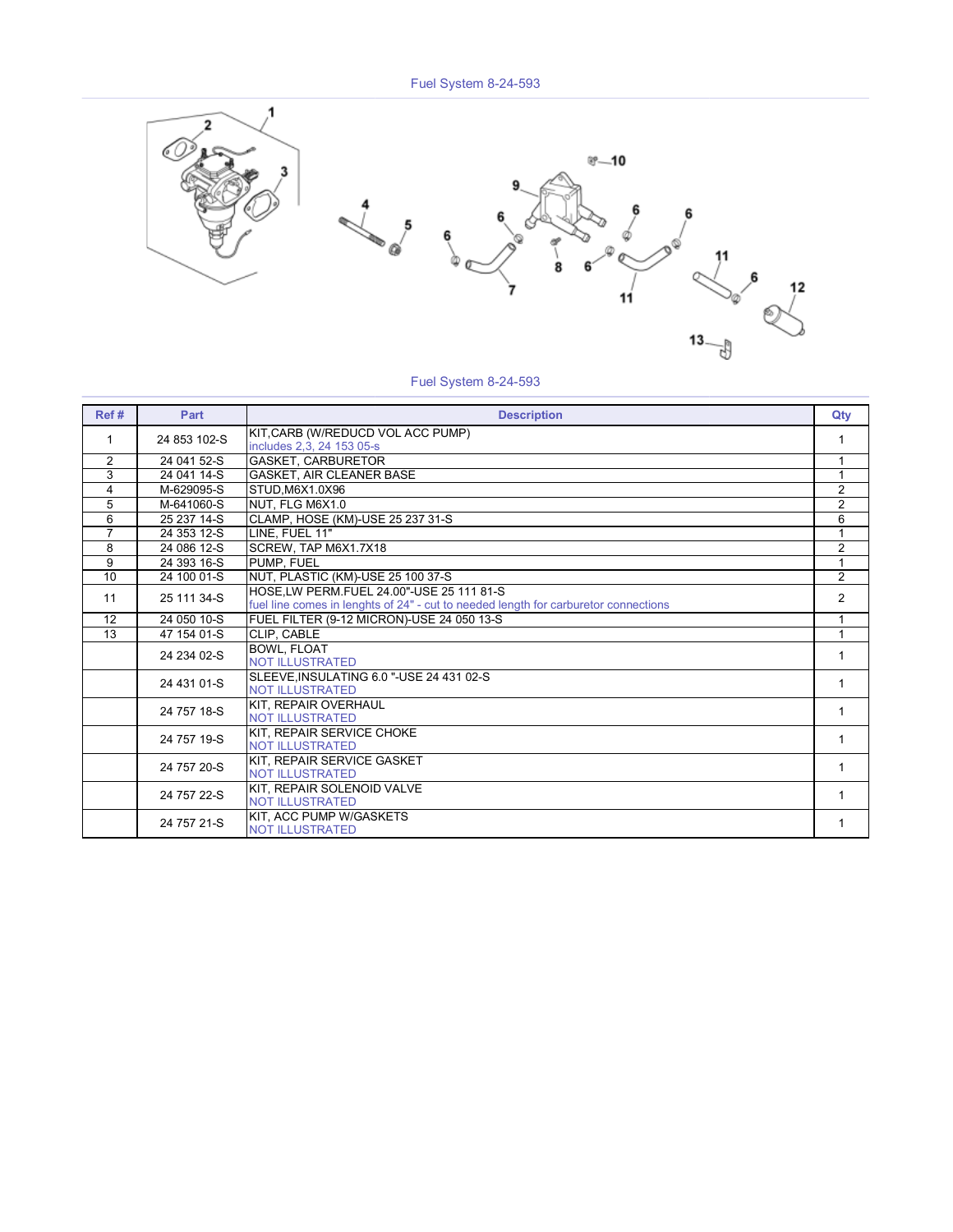

#### Fuel System 8-24-593

| Ref #          | Part         | <b>Description</b>                                                                                                              | Qty            |
|----------------|--------------|---------------------------------------------------------------------------------------------------------------------------------|----------------|
| 1              | 24 853 102-S | KIT, CARB (W/REDUCD VOL ACC PUMP)<br>includes 2,3, 24 153 05-s                                                                  | 1              |
| $\overline{2}$ | 24 041 52-S  | <b>GASKET, CARBURETOR</b>                                                                                                       | 1              |
| 3              | 24 041 14-S  | <b>GASKET, AIR CLEANER BASE</b>                                                                                                 | 1              |
| 4              | M-629095-S   | STUD.M6X1.0X96                                                                                                                  | $\overline{2}$ |
| 5              | M-641060-S   | NUT, FLG M6X1.0                                                                                                                 | $\overline{2}$ |
| 6              | 25 237 14-S  | CLAMP, HOSE (KM)-USE 25 237 31-S                                                                                                | $\overline{6}$ |
| $\overline{7}$ | 24 353 12-S  | LINE, FUEL 11"                                                                                                                  | $\mathbf{1}$   |
| 8              | 24 086 12-S  | SCREW, TAP M6X1.7X18                                                                                                            | $\overline{2}$ |
| 9              | 24 393 16-S  | PUMP, FUEL                                                                                                                      | $\mathbf{1}$   |
| 10             | 24 100 01-S  | NUT, PLASTIC (KM)-USE 25 100 37-S                                                                                               | $\overline{2}$ |
| 11             | 25 111 34-S  | HOSE.LW PERM.FUEL 24.00"-USE 25 111 81-S<br>fuel line comes in lenghts of 24" - cut to needed length for carburetor connections | $\overline{2}$ |
| 12             | 24 050 10-S  | FUEL FILTER (9-12 MICRON)-USE 24 050 13-S                                                                                       | 1              |
| 13             | 47 154 01-S  | CLIP, CABLE                                                                                                                     | 1              |
|                | 24 234 02-S  | <b>BOWL. FLOAT</b><br><b>NOT ILLUSTRATED</b>                                                                                    | 1              |
|                | 24 431 01-S  | SLEEVE, INSULATING 6.0 "-USE 24 431 02-S<br><b>NOT ILLUSTRATED</b>                                                              | 1              |
|                | 24 757 18-S  | KIT, REPAIR OVERHAUL<br><b>NOT ILLUSTRATED</b>                                                                                  | 1              |
|                | 24 757 19-S  | KIT. REPAIR SERVICE CHOKE<br><b>NOT ILLUSTRATED</b>                                                                             | 1              |
|                | 24 757 20-S  | KIT, REPAIR SERVICE GASKET<br><b>NOT ILLUSTRATED</b>                                                                            | 1              |
|                | 24 757 22-S  | KIT. REPAIR SOLENOID VALVE<br><b>NOT ILLUSTRATED</b>                                                                            | 1              |
|                | 24 757 21-S  | KIT. ACC PUMP W/GASKETS<br><b>NOT ILLUSTRATED</b>                                                                               | 1              |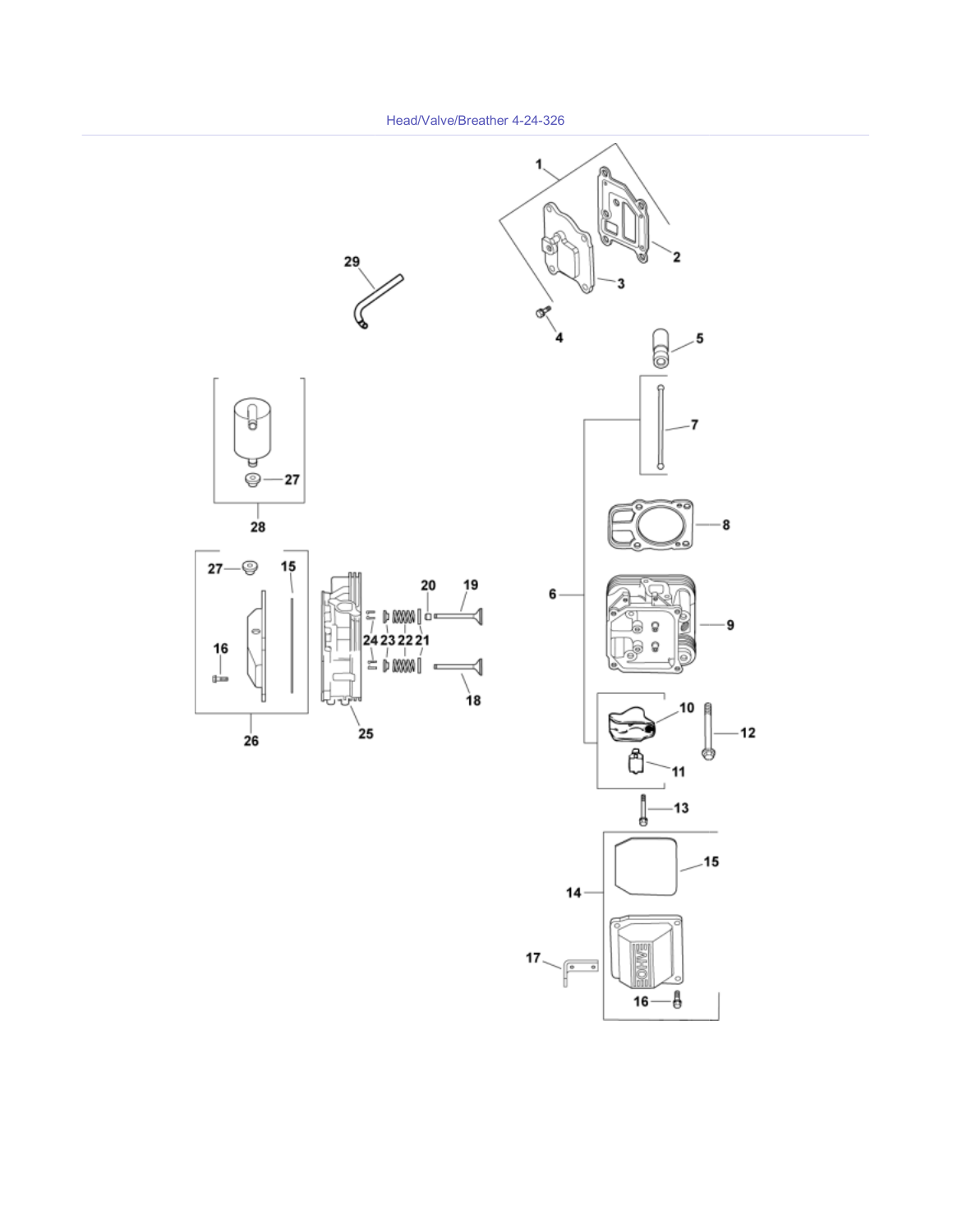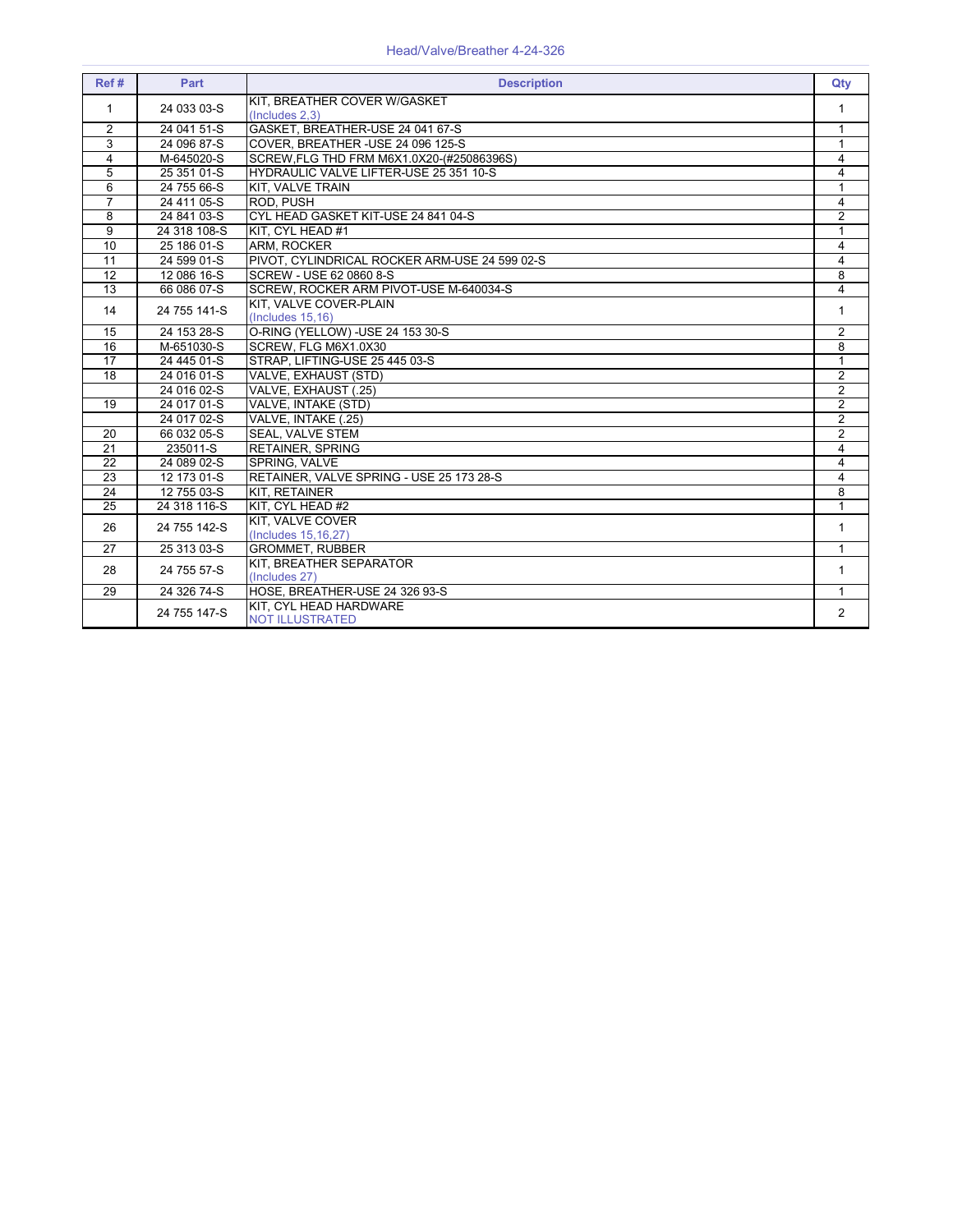#### Head/Valve/Breather 4-24-326

| Ref#                    | Part         | <b>Description</b>                               | Qty                     |
|-------------------------|--------------|--------------------------------------------------|-------------------------|
| 1                       | 24 033 03-S  | KIT. BREATHER COVER W/GASKET<br>(Includes 2,3)   | 1                       |
| 2                       | 24 041 51-S  | GASKET, BREATHER-USE 24 041 67-S                 | 1                       |
| 3                       | 24 096 87-S  | COVER, BREATHER - USE 24 096 125-S               | $\mathbf{1}$            |
| $\overline{\mathbf{4}}$ | M-645020-S   | SCREW, FLG THD FRM M6X1.0X20-(#25086396S)        | 4                       |
| 5                       | 25 351 01-S  | HYDRAULIC VALVE LIFTER-USE 25 351 10-S           | $\overline{\mathbf{4}}$ |
| 6                       | 24 755 66-S  | KIT, VALVE TRAIN                                 | 1                       |
| $\overline{7}$          | 24 411 05-S  | ROD. PUSH                                        | $\overline{\mathbf{4}}$ |
| 8                       | 24 841 03-S  | CYL HEAD GASKET KIT-USE 24 841 04-S              | $\overline{2}$          |
| 9                       | 24 318 108-S | KIT, CYL HEAD #1                                 | 1                       |
| 10                      | 25 186 01-S  | ARM, ROCKER                                      | 4                       |
| 11                      | 24 599 01-S  | PIVOT, CYLINDRICAL ROCKER ARM-USE 24 599 02-S    | $\overline{\mathbf{4}}$ |
| 12                      | 12 086 16-S  | SCREW - USE 62 0860 8-S                          | 8                       |
| 13                      | 66 086 07-S  | SCREW, ROCKER ARM PIVOT-USE M-640034-S           | $\overline{4}$          |
| 14                      | 24 755 141-S | KIT. VALVE COVER-PLAIN<br>(Includes 15, 16)      | $\mathbf{1}$            |
| 15                      | 24 153 28-S  | O-RING (YELLOW) - USE 24 153 30-S                | $\overline{2}$          |
| 16                      | M-651030-S   | SCREW, FLG M6X1.0X30                             | 8                       |
| $\overline{17}$         | 24 445 01-S  | STRAP, LIFTING-USE 25 445 03-S                   | $\overline{1}$          |
| $\overline{18}$         | 24 016 01-S  | VALVE, EXHAUST (STD)                             | $\overline{2}$          |
|                         | 24 016 02-S  | VALVE. EXHAUST (.25)                             | $\overline{2}$          |
| 19                      | 24 017 01-S  | VALVE, INTAKE (STD)                              | $\overline{2}$          |
|                         | 24 017 02-S  | VALVE, INTAKE (.25)                              | $\overline{2}$          |
| $\overline{20}$         | 66 032 05-S  | <b>SEAL, VALVE STEM</b>                          | $\overline{2}$          |
| 21                      | 235011-S     | <b>RETAINER, SPRING</b>                          | 4                       |
| 22                      | 24 089 02-S  | SPRING, VALVE                                    | 4                       |
| 23                      | 12 173 01-S  | RETAINER. VALVE SPRING - USE 25 173 28-S         | $\overline{\mathbf{4}}$ |
| 24                      | 12 755 03-S  | KIT. RETAINER                                    | 8                       |
| 25                      | 24 318 116-S | KIT. CYL HEAD #2                                 | $\mathbf{1}$            |
| 26                      | 24 755 142-S | <b>KIT, VALVE COVER</b><br>(Includes 15, 16, 27) | $\mathbf{1}$            |
| 27                      | 25 313 03-S  | <b>GROMMET, RUBBER</b>                           | 1                       |
| 28                      | 24 755 57-S  | KIT, BREATHER SEPARATOR<br>(Includes 27)         | 1                       |
| 29                      | 24 326 74-S  | HOSE, BREATHER-USE 24 326 93-S                   | 1                       |
|                         | 24 755 147-S | KIT. CYL HEAD HARDWARE<br><b>NOT ILLUSTRATED</b> | $\overline{2}$          |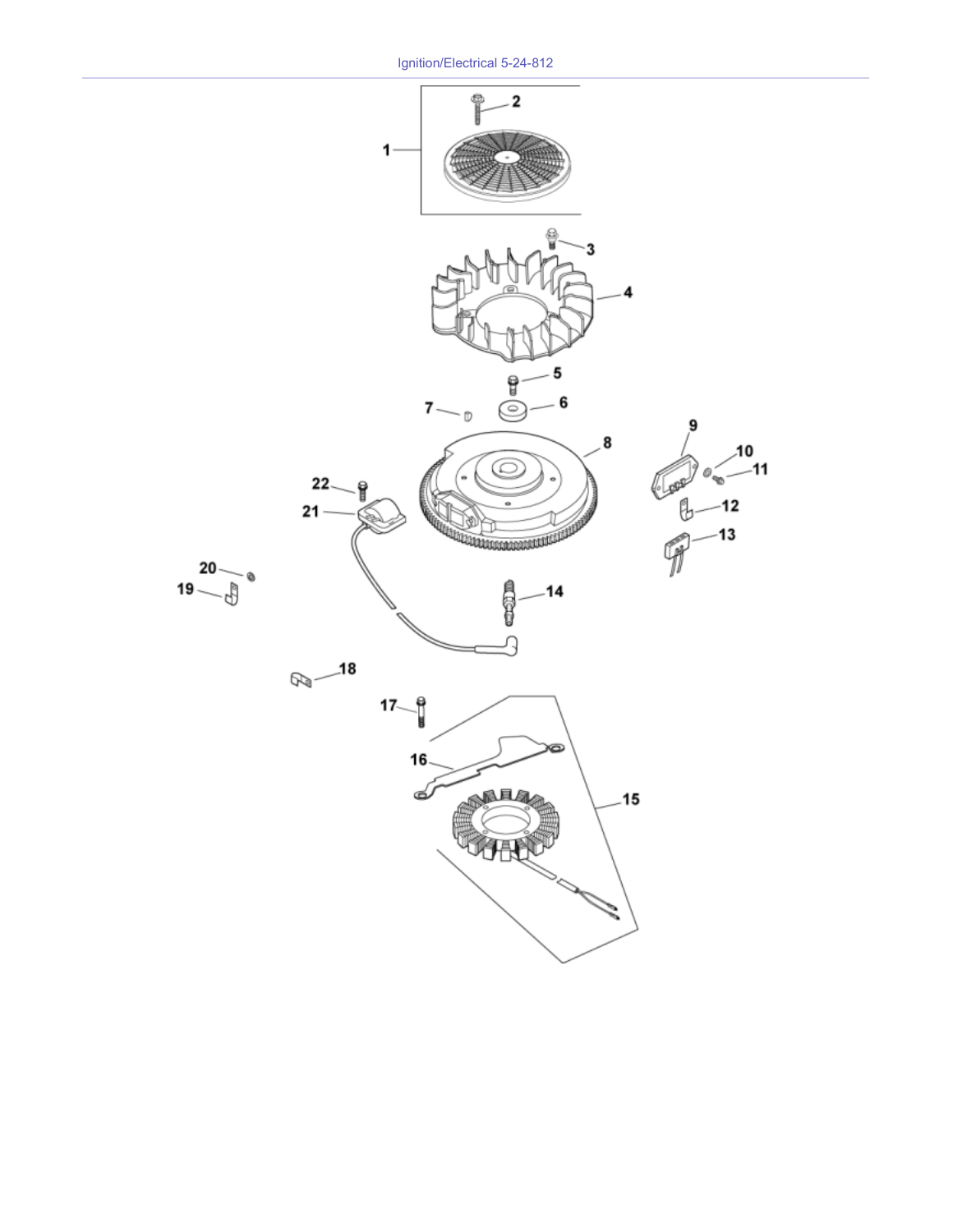Ignition/Electrical 5-24-812

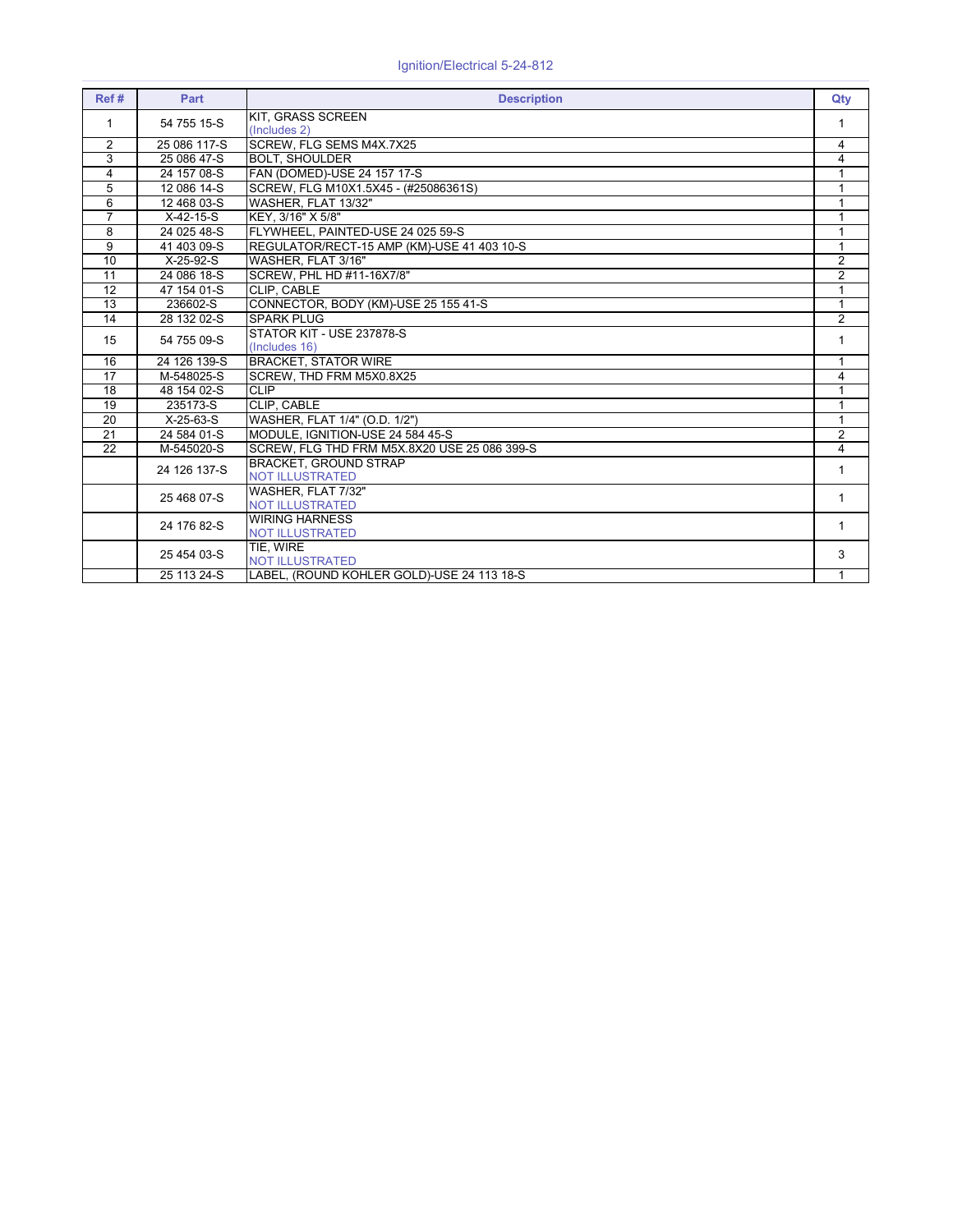| Ref#            | Part         | <b>Description</b>                                     | Qty            |
|-----------------|--------------|--------------------------------------------------------|----------------|
| 1               | 54 755 15-S  | KIT. GRASS SCREEN<br>(Includes 2)                      | 1              |
| $\overline{2}$  | 25 086 117-S | SCREW, FLG SEMS M4X.7X25                               | 4              |
| 3               | 25 086 47-S  | <b>BOLT, SHOULDER</b>                                  | 4              |
| $\overline{4}$  | 24 157 08-S  | FAN (DOMED)-USE 24 157 17-S                            | 1              |
| 5               | 12 086 14-S  | SCREW, FLG M10X1.5X45 - (#25086361S)                   | 1              |
| 6               | 12 468 03-S  | WASHER, FLAT 13/32"                                    | 1              |
| $\overline{7}$  | $X-42-15-S$  | KEY. 3/16" X 5/8"                                      | 1              |
| 8               | 24 025 48-S  | FLYWHEEL, PAINTED-USE 24 025 59-S                      | 1              |
| 9               | 41 403 09-S  | REGULATOR/RECT-15 AMP (KM)-USE 41 403 10-S             | $\mathbf{1}$   |
| 10              | $X-25-92-S$  | WASHER, FLAT 3/16"                                     | $\overline{2}$ |
| $\overline{11}$ | 24 086 18-S  | SCREW, PHL HD #11-16X7/8"                              | $\overline{2}$ |
| 12              | 47 154 01-S  | CLIP, CABLE                                            | $\mathbf{1}$   |
| $\overline{13}$ | 236602-S     | CONNECTOR, BODY (KM)-USE 25 155 41-S                   | $\mathbf{1}$   |
| $\overline{14}$ | 28 132 02-S  | <b>SPARK PLUG</b>                                      | $\overline{2}$ |
| 15              | 54 755 09-S  | STATOR KIT - USE 237878-S<br>(Includes 16)             | 1              |
| 16              | 24 126 139-S | <b>BRACKET, STATOR WIRE</b>                            | 1              |
| $\overline{17}$ | M-548025-S   | SCREW, THD FRM M5X0.8X25                               | 4              |
| 18              | 48 154 02-S  | <b>CLIP</b>                                            | $\mathbf{1}$   |
| 19              | 235173-S     | <b>CLIP. CABLE</b>                                     |                |
| $\overline{20}$ | $X-25-63-S$  | WASHER, FLAT 1/4" (O.D. 1/2")                          | 1              |
| $\overline{21}$ | 24 584 01-S  | MODULE. IGNITION-USE 24 584 45-S                       | $\overline{2}$ |
| 22              | M-545020-S   | SCREW. FLG THD FRM M5X.8X20 USE 25 086 399-S           | 4              |
|                 | 24 126 137-S | <b>BRACKET, GROUND STRAP</b><br><b>NOT ILLUSTRATED</b> | 1              |
|                 | 25 468 07-S  | WASHER, FLAT 7/32"<br><b>NOT ILLUSTRATED</b>           | 1              |
|                 | 24 176 82-S  | <b>WIRING HARNESS</b><br><b>NOT ILLUSTRATED</b>        | 1              |
|                 | 25 454 03-S  | TIE. WIRE<br><b>NOT ILLUSTRATED</b>                    | 3              |
|                 | 25 113 24-S  | LABEL, (ROUND KOHLER GOLD)-USE 24 113 18-S             | 1              |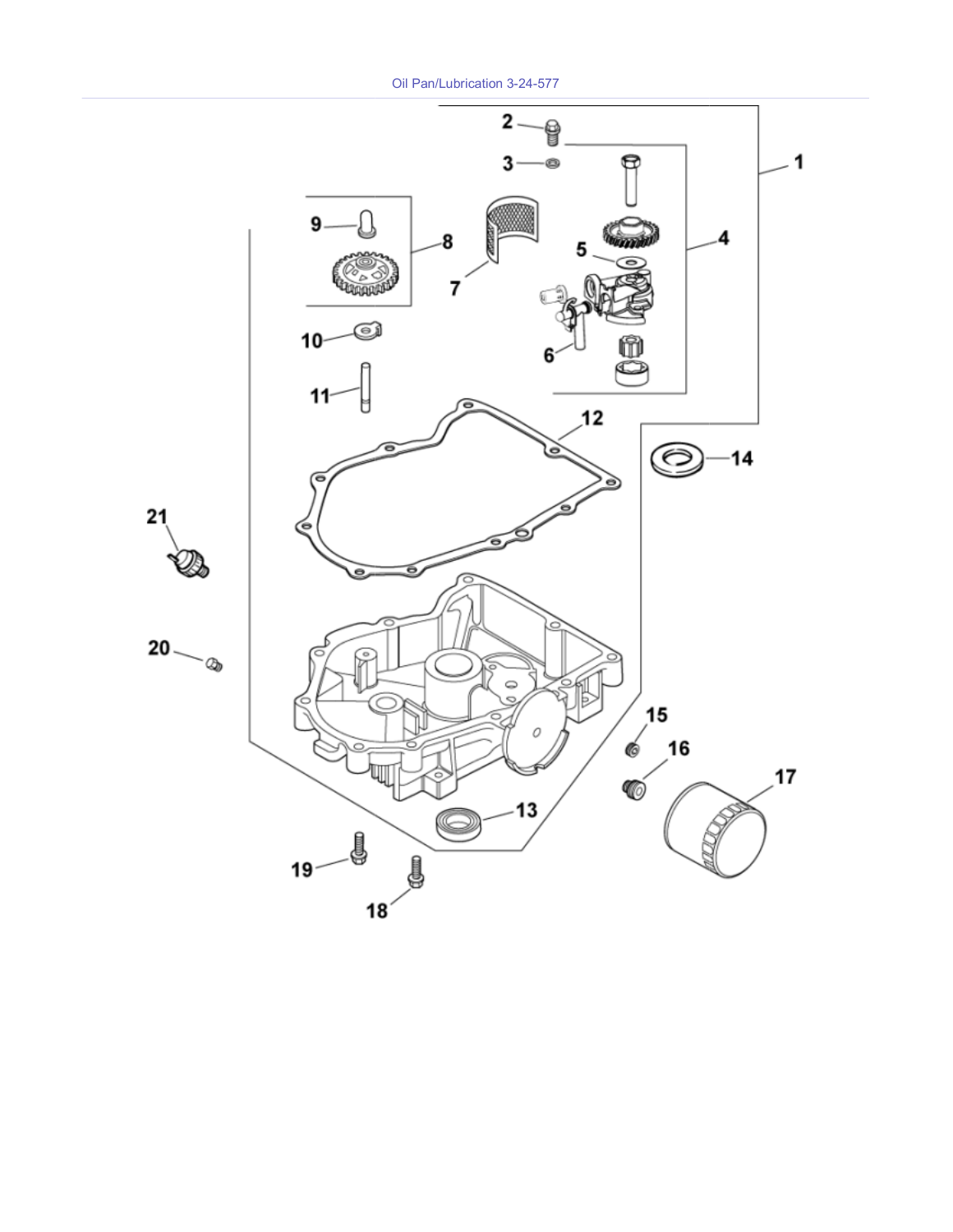Oil Pan/Lubrication 3-24-577

![](_page_14_Figure_1.jpeg)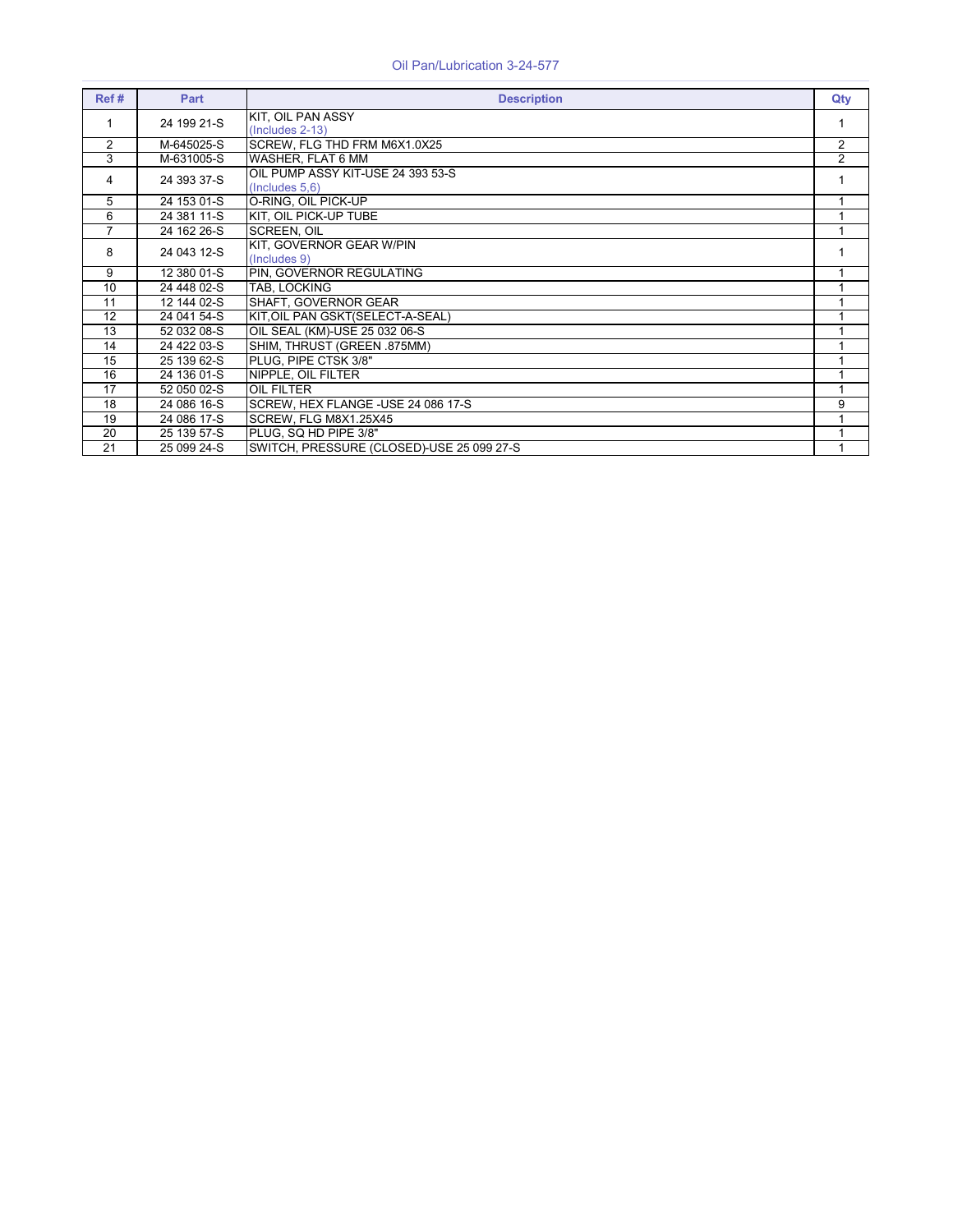| Ref# | Part        | <b>Description</b>                                  | Qty            |
|------|-------------|-----------------------------------------------------|----------------|
| 1    | 24 199 21-S | KIT, OIL PAN ASSY<br>(Includes 2-13)                |                |
| 2    | M-645025-S  | SCREW, FLG THD FRM M6X1.0X25                        | $\overline{2}$ |
| 3    | M-631005-S  | WASHER, FLAT 6 MM                                   | $\overline{2}$ |
| 4    | 24 393 37-S | OIL PUMP ASSY KIT-USE 24 393 53-S<br>(Includes 5,6) |                |
| 5    | 24 153 01-S | O-RING, OIL PICK-UP                                 |                |
| 6    | 24 381 11-S | KIT. OIL PICK-UP TUBE                               |                |
| 7    | 24 162 26-S | <b>SCREEN. OIL</b>                                  |                |
| 8    | 24 043 12-S | KIT, GOVERNOR GEAR W/PIN<br>(Includes 9)            |                |
| 9    | 12 380 01-S | PIN, GOVERNOR REGULATING                            |                |
| 10   | 24 448 02-S | TAB, LOCKING                                        |                |
| 11   | 12 144 02-S | SHAFT, GOVERNOR GEAR                                |                |
| 12   | 24 041 54-S | KIT, OIL PAN GSKT (SELECT-A-SEAL)                   |                |
| 13   | 52 032 08-S | OIL SEAL (KM)-USE 25 032 06-S                       |                |
| 14   | 24 422 03-S | SHIM, THRUST (GREEN .875MM)                         |                |
| 15   | 25 139 62-S | PLUG, PIPE CTSK 3/8"                                |                |
| 16   | 24 136 01-S | NIPPLE, OIL FILTER                                  |                |
| 17   | 52 050 02-S | <b>OIL FILTER</b>                                   |                |
| 18   | 24 086 16-S | SCREW, HEX FLANGE - USE 24 086 17-S                 | 9              |
| 19   | 24 086 17-S | SCREW, FLG M8X1.25X45                               |                |
| 20   | 25 139 57-S | PLUG. SQ HD PIPE 3/8"                               |                |
| 21   | 25 099 24-S | SWITCH, PRESSURE (CLOSED)-USE 25 099 27-S           |                |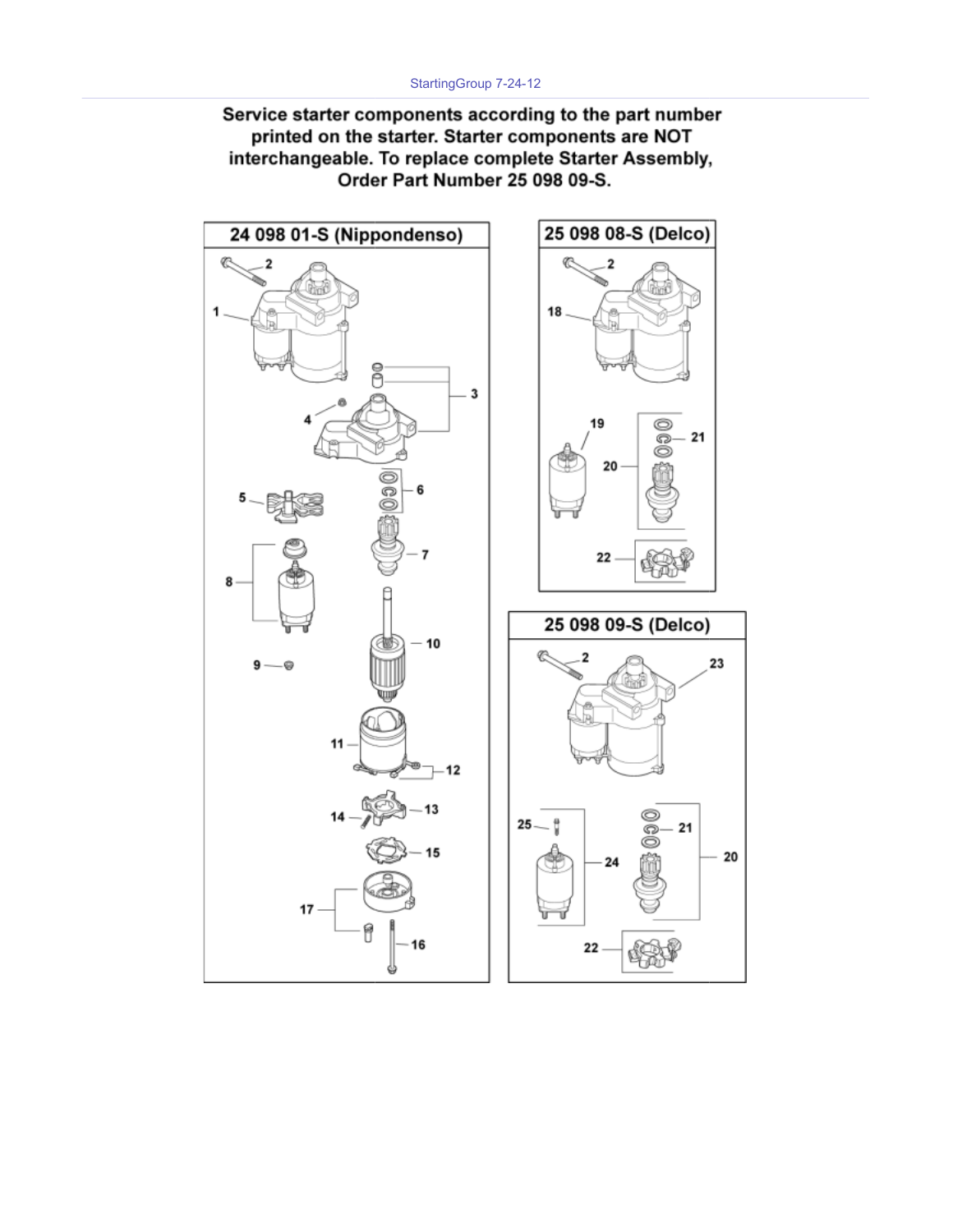Service starter components according to the part number printed on the starter. Starter components are NOT interchangeable. To replace complete Starter Assembly, Order Part Number 25 098 09-S.

![](_page_16_Figure_2.jpeg)